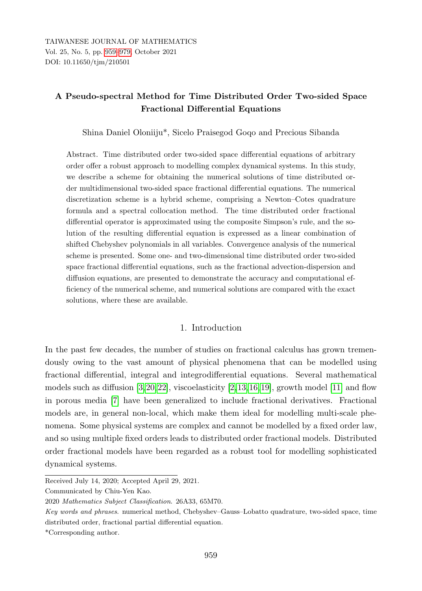# <span id="page-0-0"></span>A Pseudo-spectral Method for Time Distributed Order Two-sided Space Fractional Differential Equations

Shina Daniel Oloniiju\*, Sicelo Praisegod Goqo and Precious Sibanda

Abstract. Time distributed order two-sided space differential equations of arbitrary order offer a robust approach to modelling complex dynamical systems. In this study, we describe a scheme for obtaining the numerical solutions of time distributed order multidimensional two-sided space fractional differential equations. The numerical discretization scheme is a hybrid scheme, comprising a Newton–Cotes quadrature formula and a spectral collocation method. The time distributed order fractional differential operator is approximated using the composite Simpson's rule, and the solution of the resulting differential equation is expressed as a linear combination of shifted Chebyshev polynomials in all variables. Convergence analysis of the numerical scheme is presented. Some one- and two-dimensional time distributed order two-sided space fractional differential equations, such as the fractional advection-dispersion and diffusion equations, are presented to demonstrate the accuracy and computational efficiency of the numerical scheme, and numerical solutions are compared with the exact solutions, where these are available.

## 1. Introduction

In the past few decades, the number of studies on fractional calculus has grown tremendously owing to the vast amount of physical phenomena that can be modelled using fractional differential, integral and integrodifferential equations. Several mathematical models such as diffusion  $[3,20,22]$  $[3,20,22]$  $[3,20,22]$ , viscoelasticity  $[2,13,16,19]$  $[2,13,16,19]$  $[2,13,16,19]$  $[2,13,16,19]$ , growth model  $[11]$  and flow in porous media [\[7\]](#page-18-2) have been generalized to include fractional derivatives. Fractional models are, in general non-local, which make them ideal for modelling multi-scale phenomena. Some physical systems are complex and cannot be modelled by a fixed order law, and so using multiple fixed orders leads to distributed order fractional models. Distributed order fractional models have been regarded as a robust tool for modelling sophisticated dynamical systems.

Received July 14, 2020; Accepted April 29, 2021.

Communicated by Chiu-Yen Kao.

<sup>2020</sup> Mathematics Subject Classification. 26A33, 65M70.

Key words and phrases. numerical method, Chebyshev–Gauss–Lobatto quadrature, two-sided space, time distributed order, fractional partial differential equation.

<sup>\*</sup>Corresponding author.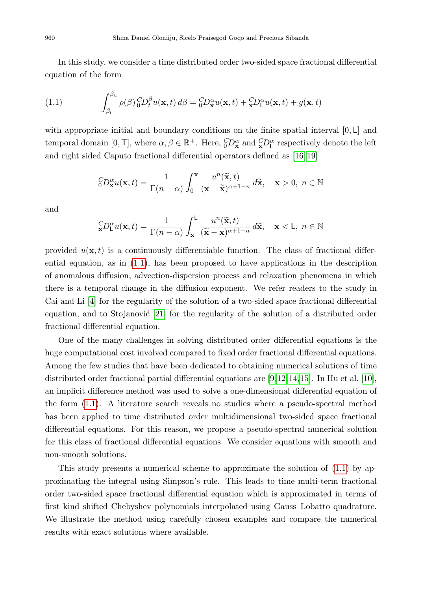In this study, we consider a time distributed order two-sided space fractional differential equation of the form

<span id="page-1-0"></span>(1.1) 
$$
\int_{\beta_l}^{\beta_u} \rho(\beta) \, {}_0^C D_t^{\beta} u(\mathbf{x}, t) \, d\beta = {}_0^C D_{\mathbf{x}}^{\alpha} u(\mathbf{x}, t) + {}_{{\mathbf{x}}}^C D_{\mathsf{L}}^{\alpha} u(\mathbf{x}, t) + g(\mathbf{x}, t)
$$

with appropriate initial and boundary conditions on the finite spatial interval  $[0, L]$  and temporal domain  $[0, \text{T}]$ , where  $\alpha, \beta \in \mathbb{R}^+$ . Here,  ${}_{0}^{C}D_{\mathbf{x}}^{\alpha}$  and  ${}_{\mathbf{x}}^{C}D_{\mathbf{L}}^{\alpha}$  respectively denote the left and right sided Caputo fractional differential operators defined as [\[16,](#page-19-2) [19\]](#page-19-3)

$$
{}_{0}^{C}D_{\mathbf{x}}^{\alpha}u(\mathbf{x},t) = \frac{1}{\Gamma(n-\alpha)} \int_{0}^{\mathbf{x}} \frac{u^{n}(\widetilde{\mathbf{x}},t)}{(\mathbf{x}-\widetilde{\mathbf{x}})^{\alpha+1-n}} d\widetilde{\mathbf{x}}, \quad \mathbf{x} > 0, \ n \in \mathbb{N}
$$

and

$$
{}_{\mathbf{x}}^C D_{\mathsf{L}}^{\alpha} u(\mathbf{x}, t) = \frac{1}{\Gamma(n - \alpha)} \int_{\mathbf{x}}^{\mathsf{L}} \frac{u^n(\widetilde{\mathbf{x}}, t)}{(\widetilde{\mathbf{x}} - \mathbf{x})^{\alpha + 1 - n}} d\widetilde{\mathbf{x}}, \quad \mathbf{x} < \mathsf{L}, n \in \mathbb{N}
$$

provided  $u(\mathbf{x}, t)$  is a continuously differentiable function. The class of fractional differential equation, as in [\(1.1\)](#page-1-0), has been proposed to have applications in the description of anomalous diffusion, advection-dispersion process and relaxation phenomena in which there is a temporal change in the diffusion exponent. We refer readers to the study in Cai and Li [\[4\]](#page-18-3) for the regularity of the solution of a two-sided space fractional differential equation, and to Stojanović  $[21]$  for the regularity of the solution of a distributed order fractional differential equation.

One of the many challenges in solving distributed order differential equations is the huge computational cost involved compared to fixed order fractional differential equations. Among the few studies that have been dedicated to obtaining numerical solutions of time distributed order fractional partial differential equations are [\[9,](#page-18-4)[12,](#page-19-5)[14,](#page-19-6)[15\]](#page-19-7). In Hu et al. [\[10\]](#page-19-8), an implicit difference method was used to solve a one-dimensional differential equation of the form [\(1.1\)](#page-1-0). A literature search reveals no studies where a pseudo-spectral method has been applied to time distributed order multidimensional two-sided space fractional differential equations. For this reason, we propose a pseudo-spectral numerical solution for this class of fractional differential equations. We consider equations with smooth and non-smooth solutions.

This study presents a numerical scheme to approximate the solution of [\(1.1\)](#page-1-0) by approximating the integral using Simpson's rule. This leads to time multi-term fractional order two-sided space fractional differential equation which is approximated in terms of first kind shifted Chebyshev polynomials interpolated using Gauss–Lobatto quadrature. We illustrate the method using carefully chosen examples and compare the numerical results with exact solutions where available.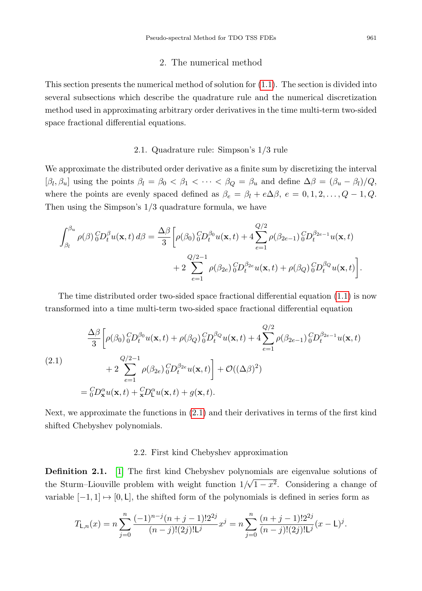### 2. The numerical method

This section presents the numerical method of solution for [\(1.1\)](#page-1-0). The section is divided into several subsections which describe the quadrature rule and the numerical discretization method used in approximating arbitrary order derivatives in the time multi-term two-sided space fractional differential equations.

## 2.1. Quadrature rule: Simpson's 1/3 rule

We approximate the distributed order derivative as a finite sum by discretizing the interval  $[\beta_l, \beta_u]$  using the points  $\beta_l = \beta_0 < \beta_1 < \cdots < \beta_Q = \beta_u$  and define  $\Delta \beta = (\beta_u - \beta_l)/Q$ , where the points are evenly spaced defined as  $\beta_e = \beta_l + e\Delta\beta$ ,  $e = 0, 1, 2, \dots, Q - 1, Q$ . Then using the Simpson's 1/3 quadrature formula, we have

$$
\int_{\beta_l}^{\beta_u} \rho(\beta) \, {}_{0}^{C}D_t^{\beta} u(\mathbf{x},t) \, d\beta = \frac{\Delta \beta}{3} \bigg[ \rho(\beta_0) \, {}_{0}^{C}D_t^{\beta_0} u(\mathbf{x},t) + 4 \sum_{e=1}^{Q/2} \rho(\beta_{2e-1}) \, {}_{0}^{C}D_t^{\beta_{2e-1}} u(\mathbf{x},t) \\ + 2 \sum_{e=1}^{Q/2-1} \rho(\beta_{2e}) \, {}_{0}^{C}D_t^{\beta_{2e}} u(\mathbf{x},t) + \rho(\beta_Q) \, {}_{0}^{C}D_t^{\beta_Q} u(\mathbf{x},t) \bigg].
$$

The time distributed order two-sided space fractional differential equation [\(1.1\)](#page-1-0) is now transformed into a time multi-term two-sided space fractional differential equation

<span id="page-2-0"></span>(2.1)  
\n
$$
\frac{\Delta \beta}{3} \left[ \rho(\beta_0) {}_{0}^{C} D_{t}^{\beta_0} u(\mathbf{x}, t) + \rho(\beta_Q) {}_{0}^{C} D_{t}^{\beta_Q} u(\mathbf{x}, t) + 4 \sum_{e=1}^{Q/2} \rho(\beta_{2e-1}) {}_{0}^{C} D_{t}^{\beta_{2e-1}} u(\mathbf{x}, t) + 2 \sum_{e=1}^{Q/2-1} \rho(\beta_{2e}) {}_{0}^{C} D_{t}^{\beta_{2e}} u(\mathbf{x}, t) + \mathcal{O}((\Delta \beta)^2) \right]
$$
\n
$$
= {}_{0}^{C} D_{\mathbf{x}}^{\alpha} u(\mathbf{x}, t) + {}_{\mathbf{x}}^{C} D_{\mathbf{L}}^{\alpha} u(\mathbf{x}, t) + g(\mathbf{x}, t).
$$

Next, we approximate the functions in [\(2.1\)](#page-2-0) and their derivatives in terms of the first kind shifted Chebyshev polynomials.

#### 2.2. First kind Chebyshev approximation

**Definition 2.1.** [\[1\]](#page-18-5) The first kind Chebyshev polynomials are eigenvalue solutions of the Sturm–Liouville problem with weight function  $1/\sqrt{1-x^2}$ . Considering a change of variable  $[-1, 1] \mapsto [0, L]$ , the shifted form of the polynomials is defined in series form as

$$
T_{\mathsf{L},n}(x) = n \sum_{j=0}^{n} \frac{(-1)^{n-j}(n+j-1)!2^{2j}}{(n-j)!(2j)!\mathsf{L}^j} x^j = n \sum_{j=0}^{n} \frac{(n+j-1)!2^{2j}}{(n-j)!(2j)!\mathsf{L}^j} (x-\mathsf{L})^j.
$$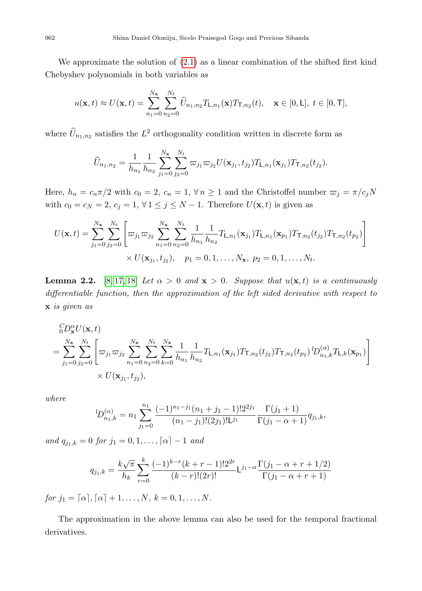We approximate the solution of [\(2.1\)](#page-2-0) as a linear combination of the shifted first kind Chebyshev polynomials in both variables as

$$
u(\mathbf{x},t) \approx U(\mathbf{x},t) = \sum_{n_1=0}^{N_{\mathbf{x}}} \sum_{n_2=0}^{N_t} \widehat{U}_{n_1,n_2} T_{\mathsf{L},n_1}(\mathbf{x}) T_{\mathsf{T},n_2}(t), \quad \mathbf{x} \in [0,\mathsf{L}], \ t \in [0,\mathsf{T}],
$$

where  $\widehat{U}_{n_1,n_2}$  satisfies the  $L^2$  orthogonality condition written in discrete form as

$$
\widehat{U}_{n_1,n_2} = \frac{1}{h_{n_1}} \frac{1}{h_{n_2}} \sum_{j_1=0}^{N_{\mathbf{x}}} \sum_{j_2=0}^{N_t} \varpi_{j_1} \varpi_{j_2} U(\mathbf{x}_{j_1}, t_{j_2}) T_{\mathsf{L},n_1}(\mathbf{x}_{j_1}) T_{\mathsf{T},n_2}(t_{j_2}).
$$

Here,  $h_n = c_n \pi/2$  with  $c_0 = 2$ ,  $c_n = 1$ ,  $\forall n \ge 1$  and the Christoffel number  $\varpi_j = \pi/c_jN$ with  $c_0 = c_N = 2, c_j = 1, \forall 1 \le j \le N - 1$ . Therefore  $U(\mathbf{x}, t)$  is given as

$$
U(\mathbf{x},t) = \sum_{j_1=0}^{N_{\mathbf{x}}} \sum_{j_2=0}^{N_t} \left[ \varpi_{j_1} \varpi_{j_2} \sum_{n_1=0}^{N_{\mathbf{x}}} \sum_{n_2=0}^{N_t} \frac{1}{h_{n_1}} \frac{1}{h_{n_2}} T_{\mathsf{L},n_1}(\mathbf{x}_{j_1}) T_{\mathsf{L},n_1}(\mathbf{x}_{p_1}) T_{\mathsf{T},n_2}(t_{j_2}) T_{\mathsf{T},n_2}(t_{p_2}) \right] \times U(\mathbf{x}_{j_1},t_{j_2}), \quad p_1 = 0,1,\ldots,N_{\mathbf{x}}, p_2 = 0,1,\ldots,N_t.
$$

<span id="page-3-0"></span>**Lemma 2.2.** [\[8,](#page-18-6) [17,](#page-19-9) [18\]](#page-19-10) Let  $\alpha > 0$  and  $\mathbf{x} > 0$ . Suppose that  $u(\mathbf{x}, t)$  is a continuously differentiable function, then the approximation of the left sided derivative with respect to x is given as

$$
\begin{split} &{}_{0}^{C}D_{\mathbf{x}}^{\alpha}U(\mathbf{x},t) \\ &= \sum_{j_{1}=0}^{N_{\mathbf{x}}}\sum_{j_{2}=0}^{N_{t}}\left[\varpi_{j_{1}}\varpi_{j_{2}}\sum_{n_{1}=0}^{N_{\mathbf{x}}}\sum_{n_{2}=0}^{N_{t}}\sum_{k=0}^{N_{\mathbf{x}}}\frac{1}{h_{n_{1}}}\frac{1}{h_{n_{2}}}T_{\mathsf{L},n_{1}}(\mathbf{x}_{j_{1}})T_{\mathsf{T},n_{2}}(t_{j_{2}})T_{\mathsf{T},n_{2}}(t_{p_{2}})\,{}^{l}D_{n_{1},k}^{(\alpha)}T_{\mathsf{L},k}(\mathbf{x}_{p_{1}})\right] \\ &\times U(\mathbf{x}_{j_{1}},t_{j_{2}}), \end{split}
$$

where

$$
{}^{l}D_{n_1,k}^{(\alpha)} = n_1 \sum_{j_1=0}^{n_1} \frac{(-1)^{n_1-j_1}(n_1+j_1-1)!2^{2j_1}}{(n_1-j_1)!(2j_1)!\mathsf{L}^{j_1}} \frac{\Gamma(j_1+1)}{\Gamma(j_1-\alpha+1)} q_{j_1,k},
$$

and  $q_{j_1,k} = 0$  for  $j_1 = 0, 1, \ldots, \lceil \alpha \rceil - 1$  and

$$
q_{j_1,k} = \frac{k\sqrt{\pi}}{h_k} \sum_{r=0}^{k} \frac{(-1)^{k-r}(k+r-1)!2^{2r}}{(k-r)!(2r)!} \mathsf{L}^{j_1-\alpha} \frac{\Gamma(j_1-\alpha+r+1/2)}{\Gamma(j_1-\alpha+r+1)}
$$

for  $j_1 = [\alpha], [\alpha] + 1, \ldots, N, k = 0, 1, \ldots, N$ .

The approximation in the above lemma can also be used for the temporal fractional derivatives.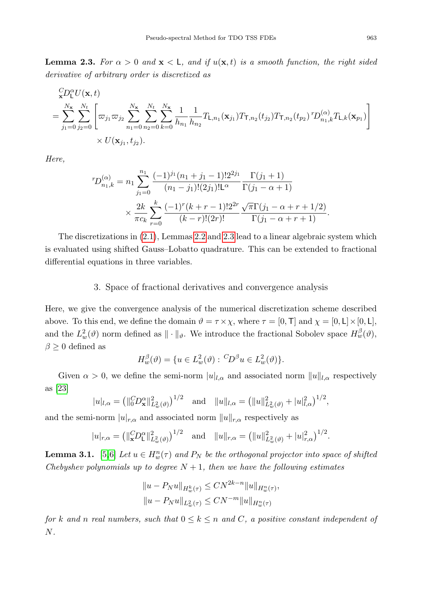<span id="page-4-0"></span>**Lemma 2.3.** For  $\alpha > 0$  and  $\mathbf{x} < \mathsf{L}$ , and if  $u(\mathbf{x}, t)$  is a smooth function, the right sided derivative of arbitrary order is discretized as

$$
\sum_{\mathbf{x}}^{C} D_{\mathbf{L}}^{\alpha} U(\mathbf{x}, t)
$$
\n
$$
= \sum_{j_1=0}^{N_{\mathbf{x}}}\sum_{j_2=0}^{N_{\mathbf{L}}} \left[ \varpi_{j_1} \varpi_{j_2} \sum_{n_1=0}^{N_{\mathbf{x}}} \sum_{n_2=0}^{N_{\mathbf{L}}} \sum_{k=0}^{N_{\mathbf{L}}} \frac{1}{h_{n_1}} \frac{1}{h_{n_2}} T_{\mathbf{L}, n_1}(\mathbf{x}_{j_1}) T_{\mathbf{T}, n_2}(t_{j_2}) T_{\mathbf{T}, n_2}(t_{p_2})^T D_{n_1, k}^{(\alpha)} T_{\mathbf{L}, k}(\mathbf{x}_{p_1}) \right] \times U(\mathbf{x}_{j_1}, t_{j_2}).
$$

Here,

$$
{}^{r}D_{n_{1},k}^{(\alpha)} = n_{1} \sum_{j_{1}=0}^{n_{1}} \frac{(-1)^{j_{1}}(n_{1}+j_{1}-1)!2^{j_{j_{1}}}}{(n_{1}-j_{1})!(2j_{1})!\mathsf{L}^{\alpha}} \frac{\Gamma(j_{1}+1)}{\Gamma(j_{1}-\alpha+1)}
$$

$$
\times \frac{2k}{\pi c_{k}} \sum_{r=0}^{k} \frac{(-1)^{r}(k+r-1)!2^{2r}}{(k-r)!(2r)!} \frac{\sqrt{\pi}\Gamma(j_{1}-\alpha+r+1/2)}{\Gamma(j_{1}-\alpha+r+1)}.
$$

The discretizations in [\(2.1\)](#page-2-0), Lemmas [2.2](#page-3-0) and [2.3](#page-4-0) lead to a linear algebraic system which is evaluated using shifted Gauss–Lobatto quadrature. This can be extended to fractional differential equations in three variables.

## 3. Space of fractional derivatives and convergence analysis

Here, we give the convergence analysis of the numerical discretization scheme described above. To this end, we define the domain  $\vartheta = \tau \times \chi$ , where  $\tau = [0, T]$  and  $\chi = [0, L] \times [0, L]$ , and the  $L^2_w(\vartheta)$  norm defined as  $\|\cdot\|_{\vartheta}$ . We introduce the fractional Sobolev space  $H^{\beta}_w(\vartheta)$ ,  $\beta \geq 0$  defined as

$$
H_w^{\beta}(\vartheta) = \{ u \in L_w^2(\vartheta) : {}^C\!D^{\beta} u \in L_w^2(\vartheta) \}.
$$

Given  $\alpha > 0$ , we define the semi-norm  $|u|_{l,\alpha}$  and associated norm  $||u||_{l,\alpha}$  respectively as [\[23\]](#page-20-2)

$$
|u|_{l,\alpha} = (||_{0}^{C}D_{\mathbf{x}}^{\alpha}||_{L_{w}^{2}(\vartheta)}^{2})^{1/2} \text{ and } ||u||_{l,\alpha} = (||u||_{L_{w}^{2}(\vartheta)}^{2} + |u|_{l,\alpha}^{2})^{1/2},
$$

and the semi-norm  $|u|_{r,\alpha}$  and associated norm  $||u||_{r,\alpha}$  respectively as

$$
|u|_{r,\alpha} = (||\mathcal{L}D_{\mathsf{L}}^{\alpha}||_{L^2_w(\vartheta)}^2)^{1/2}
$$
 and  $||u||_{r,\alpha} = (||u||_{L^2_w(\vartheta)}^2 + |u|_{r,\alpha}^2)^{1/2}$ .

**Lemma 3.1.** [\[5,](#page-18-7)[6\]](#page-18-8) Let  $u \in H_w^n(\tau)$  and  $P_N$  be the orthogonal projector into space of shifted Chebyshev polynomials up to degree  $N+1$ , then we have the following estimates

$$
||u - P_N u||_{H_w^k(\tau)} \leq CN^{2k-n} ||u||_{H_w^n(\tau)},
$$
  

$$
||u - P_N u||_{L_w^2(\tau)} \leq CN^{-m} ||u||_{H_w^n(\tau)}
$$

for k and n real numbers, such that  $0 \leq k \leq n$  and C, a positive constant independent of N.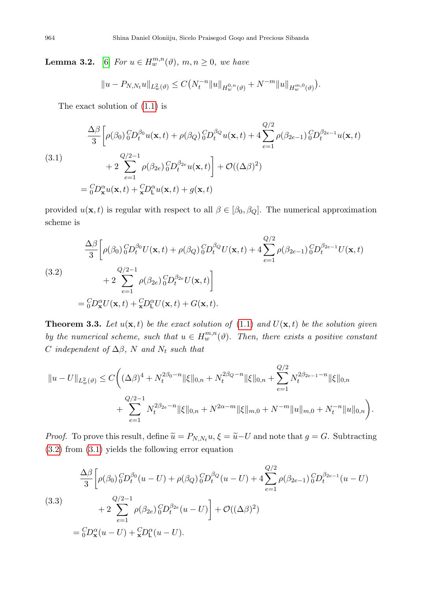**Lemma 3.2.** [\[6\]](#page-18-8) For  $u \in H_w^{m,n}(\vartheta)$ ,  $m, n \ge 0$ , we have

$$
||u - P_{N,N_t}u||_{L^2_w(\vartheta)} \leq C\big(N_t^{-n}||u||_{H^{0,n}_w(\vartheta)} + N^{-m}||u||_{H^{m,0}_w(\vartheta)}\big).
$$

The exact solution of [\(1.1\)](#page-1-0) is

<span id="page-5-1"></span>(3.1)  
\n
$$
\frac{\Delta \beta}{3} \left[ \rho(\beta_0) {}_{0}^{C}D_t^{\beta_0} u(\mathbf{x}, t) + \rho(\beta_Q) {}_{0}^{C}D_t^{\beta_Q} u(\mathbf{x}, t) + 4 \sum_{e=1}^{Q/2} \rho(\beta_{2e-1}) {}_{0}^{C}D_t^{\beta_{2e-1}} u(\mathbf{x}, t) + 2 \sum_{e=1}^{Q/2-1} \rho(\beta_{2e}) {}_{0}^{C}D_t^{\beta_{2e}} u(\mathbf{x}, t) + \mathcal{O}((\Delta \beta)^2) \right]
$$
\n
$$
= {}_{0}^{C}D_x^{\alpha} u(\mathbf{x}, t) + {}_{\mathbf{x}}^{C}D_t^{\alpha} u(\mathbf{x}, t) + g(\mathbf{x}, t)
$$

provided  $u(\mathbf{x}, t)$  is regular with respect to all  $\beta \in [\beta_0, \beta_0]$ . The numerical approximation scheme is

<span id="page-5-0"></span>(3.2)  
\n
$$
\frac{\Delta \beta}{3} \left[ \rho(\beta_0) \, {}_{0}^{C} D_{t}^{\beta_0} U(\mathbf{x}, t) + \rho(\beta_Q) \, {}_{0}^{C} D_{t}^{\beta_Q} U(\mathbf{x}, t) + 4 \sum_{e=1}^{Q/2} \rho(\beta_{2e-1}) \, {}_{0}^{C} D_{t}^{\beta_{2e-1}} U(\mathbf{x}, t) + 2 \sum_{e=1}^{Q/2-1} \rho(\beta_{2e}) \, {}_{0}^{C} D_{t}^{\beta_{2e}} U(\mathbf{x}, t) \right]
$$
\n
$$
= {}_{0}^{C} D_{\mathbf{x}}^{\alpha} U(\mathbf{x}, t) + {}_{\mathbf{x}}^{C} D_{t}^{\alpha} U(\mathbf{x}, t) + G(\mathbf{x}, t).
$$

**Theorem 3.3.** Let  $u(\mathbf{x}, t)$  be the exact solution of [\(1.1\)](#page-1-0) and  $U(\mathbf{x}, t)$  be the solution given by the numerical scheme, such that  $u \in H_w^{m,n}(\vartheta)$ . Then, there exists a positive constant C independent of  $\Delta\beta$ , N and  $N_t$  such that

$$
||u - U||_{L_w^2(\vartheta)} \le C \bigg( (\Delta \beta)^4 + N_t^{2\beta_0 - n} \|\xi\|_{0,n} + N_t^{2\beta_Q - n} \|\xi\|_{0,n} + \sum_{e=1}^{Q/2} N_t^{2\beta_{2e-1} - n} \|\xi\|_{0,n} + \sum_{e=1}^{Q/2 - 1} N_t^{2\beta_{2e} - n} \|\xi\|_{0,n} + N^{2\alpha - m} \|\xi\|_{m,0} + N^{-m} \|u\|_{m,0} + N_t^{-n} \|u\|_{0,n} \bigg).
$$

*Proof.* To prove this result, define  $\tilde{u} = P_{N,N_t}u$ ,  $\xi = \tilde{u} - U$  and note that  $g = G$ . Subtracting [\(3.2\)](#page-5-0) from [\(3.1\)](#page-5-1) yields the following error equation

<span id="page-5-2"></span>
$$
\frac{\Delta\beta}{3} \left[ \rho(\beta_0) \, {}^{C}_{0}D_t^{\beta_0}(u-U) + \rho(\beta_Q) \, {}^{C}_{0}D_t^{\beta_Q}(u-U) + 4 \sum_{e=1}^{Q/2} \rho(\beta_{2e-1}) \, {}^{C}_{0}D_t^{\beta_{2e-1}}(u-U) \right]
$$
\n
$$
(3.3) \qquad + 2 \sum_{e=1}^{Q/2-1} \rho(\beta_{2e}) \, {}^{C}_{0}D_t^{\beta_{2e}}(u-U) + \mathcal{O}((\Delta\beta)^2)
$$
\n
$$
= {}^{C}_{0}D_{\mathbf{x}}^{\alpha}(u-U) + {}^{C}_{\mathbf{x}}D_{L}^{\alpha}(u-U).
$$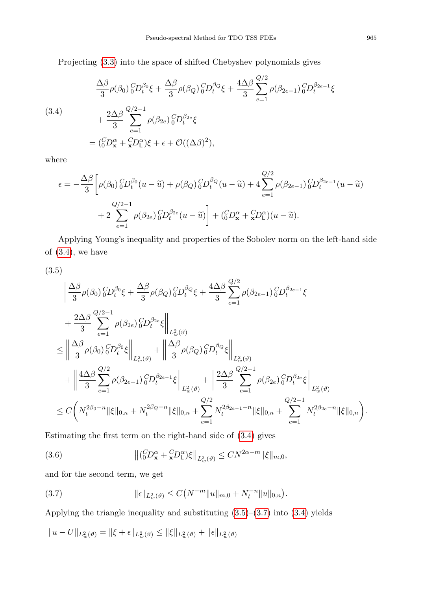Projecting [\(3.3\)](#page-5-2) into the space of shifted Chebyshev polynomials gives

<span id="page-6-0"></span>(3.4)  
\n
$$
\frac{\Delta \beta}{3} \rho(\beta_0) {}_{0}^{C} D_{t}^{\beta_0} \xi + \frac{\Delta \beta}{3} \rho(\beta_Q) {}_{0}^{C} D_{t}^{\beta_Q} \xi + \frac{4\Delta \beta}{3} \sum_{e=1}^{Q/2} \rho(\beta_{2e-1}) {}_{0}^{C} D_{t}^{\beta_{2e-1}} \xi
$$
\n
$$
+ \frac{2\Delta \beta}{3} \sum_{e=1}^{Q/2-1} \rho(\beta_{2e}) {}_{0}^{C} D_{t}^{\beta_{2e}} \xi
$$
\n
$$
= ({}_{0}^{C} D_{\mathbf{x}}^{\alpha} + {}_{\mathbf{x}}^{C} D_{L}^{\alpha}) \xi + \epsilon + \mathcal{O}((\Delta \beta)^2),
$$

where

$$
\epsilon = -\frac{\Delta\beta}{3} \left[ \rho(\beta_0) \, {}^{C}_{0}D_t^{\beta_0}(u - \widetilde{u}) + \rho(\beta_Q) \, {}^{C}_{0}D_t^{\beta_Q}(u - \widetilde{u}) + 4 \sum_{e=1}^{Q/2} \rho(\beta_{2e-1}) \, {}^{C}_{0}D_t^{\beta_{2e-1}}(u - \widetilde{u}) + 2 \sum_{e=1}^{Q/2-1} \rho(\beta_{2e}) \, {}^{C}_{0}D_t^{\beta_{2e}}(u - \widetilde{u}) \right] + \left( {}^{C}_{0}D_x^{\alpha} + {}^{C}_{\mathbf{x}}D_t^{\alpha}(u - \widetilde{u}) \right).
$$

Applying Young's inequality and properties of the Sobolev norm on the left-hand side of  $(3.4)$ , we have

(3.5)

<span id="page-6-1"></span>
$$
\begin{split} &\left\| \frac{\Delta \beta}{3} \rho(\beta_0) \, {}^{C}_{0}D_{t}^{\beta_0}\xi + \frac{\Delta \beta}{3} \rho(\beta_Q) \, {}^{C}_{0}D_{t}^{\beta_Q}\xi + \frac{4\Delta \beta}{3} \sum_{e=1}^{Q/2} \rho(\beta_{2e-1}) \, {}^{C}_{0}D_{t}^{\beta_{2e-1}}\xi \right. \\ & \left. + \frac{2\Delta \beta}{3} \sum_{e=1}^{Q/2-1} \rho(\beta_{2e}) \, {}^{C}_{0}D_{t}^{\beta_{2e}}\xi \right\|_{L^{2}_{w}(\vartheta)} \\ & \leq \left\| \frac{\Delta \beta}{3} \rho(\beta_0) \, {}^{C}_{0}D_{t}^{\beta_0}\xi \right\|_{L^{2}_{w}(\vartheta)} + \left\| \frac{\Delta \beta}{3} \rho(\beta_Q) \, {}^{C}_{0}D_{t}^{\beta_Q}\xi \right\|_{L^{2}_{w}(\vartheta)} \\ & \left. + \left\| \frac{4\Delta \beta}{3} \sum_{e=1}^{Q/2} \rho(\beta_{2e-1}) \, {}^{C}_{0}D_{t}^{\beta_{2e-1}}\xi \right\|_{L^{2}_{w}(\vartheta)} + \left\| \frac{2\Delta \beta}{3} \sum_{e=1}^{Q/2-1} \rho(\beta_{2e}) \, {}^{C}_{0}D_{t}^{\beta_{2e}}\xi \right\|_{L^{2}_{w}(\vartheta)} \\ & \leq C \left( N_{t}^{2\beta_{0}-n} \|\xi\|_{0,n} + N_{t}^{2\beta_{Q}-n} \|\xi\|_{0,n} + \sum_{e=1}^{Q/2} N_{t}^{2\beta_{2e-1}-n} \|\xi\|_{0,n} + \sum_{e=1}^{Q/2-1} N_{t}^{2\beta_{2e}-n} \|\xi\|_{0,n} \right). \end{split}
$$

Estimating the first term on the right-hand side of [\(3.4\)](#page-6-0) gives

(3.6) 
$$
\left\| \left( {}_{0}^{C}D_{\mathbf{x}}^{\alpha} + {}_{\mathbf{x}}^{C}D_{\mathsf{L}}^{\alpha} \right) \xi \right\|_{L_{w}^{2}(\vartheta)} \leq C N^{2\alpha - m} \|\xi\|_{m,0},
$$

and for the second term, we get

<span id="page-6-2"></span>(3.7) 
$$
\|\epsilon\|_{L^2_w(\vartheta)} \leq C\big(N^{-m}\|u\|_{m,0} + N_t^{-n}\|u\|_{0,n}\big).
$$

Applying the triangle inequality and substituting  $(3.5)$ – $(3.7)$  into  $(3.4)$  yields

$$
\|u-U\|_{L^2_w(\vartheta)}=\|\xi+\epsilon\|_{L^2_w(\vartheta)}\leq \|\xi\|_{L^2_w(\vartheta)}+\|\epsilon\|_{L^2_w(\vartheta)}
$$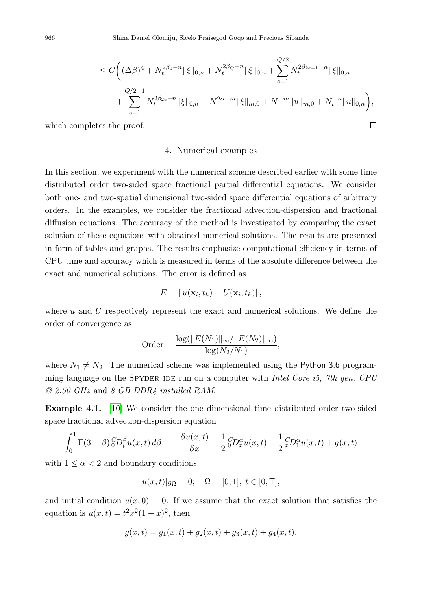$$
\leq C\bigg((\Delta\beta)^4 + N_t^{2\beta_0 - n} \|\xi\|_{0,n} + N_t^{2\beta_Q - n} \|\xi\|_{0,n} + \sum_{e=1}^{Q/2} N_t^{2\beta_{2e-1} - n} \|\xi\|_{0,n} \n+ \sum_{e=1}^{Q/2 - 1} N_t^{2\beta_{2e} - n} \|\xi\|_{0,n} + N^{2\alpha - m} \|\xi\|_{m,0} + N^{-m} \|u\|_{m,0} + N_t^{-n} \|u\|_{0,n} \bigg),
$$
\n  
\n*less the proof.*

which completes the proof.

## 4. Numerical examples

In this section, we experiment with the numerical scheme described earlier with some time distributed order two-sided space fractional partial differential equations. We consider both one- and two-spatial dimensional two-sided space differential equations of arbitrary orders. In the examples, we consider the fractional advection-dispersion and fractional diffusion equations. The accuracy of the method is investigated by comparing the exact solution of these equations with obtained numerical solutions. The results are presented in form of tables and graphs. The results emphasize computational efficiency in terms of CPU time and accuracy which is measured in terms of the absolute difference between the exact and numerical solutions. The error is defined as

$$
E = ||u(\mathbf{x}_i, t_k) - U(\mathbf{x}_i, t_k)||,
$$

where  $u$  and  $U$  respectively represent the exact and numerical solutions. We define the order of convergence as

Order = 
$$
\frac{\log(||E(N_1)||_{\infty}/||E(N_2)||_{\infty})}{\log(N_2/N_1)},
$$

where  $N_1 \neq N_2$ . The numerical scheme was implemented using the Python 3.6 programming language on the SPYDER IDE run on a computer with Intel Core is,  $7th$  gen, CPU @ 2.50 GHz and 8 GB DDR4 installed RAM.

<span id="page-7-0"></span>Example 4.1. [\[10\]](#page-19-8) We consider the one dimensional time distributed order two-sided space fractional advection-dispersion equation

$$
\int_0^1 \Gamma(3-\beta) {}_0^C D_t^{\beta} u(x,t) d\beta = -\frac{\partial u(x,t)}{\partial x} + \frac{1}{2} {}_0^C D_x^{\alpha} u(x,t) + \frac{1}{2} {}_x^C D_1^{\alpha} u(x,t) + g(x,t)
$$

with  $1 \leq \alpha < 2$  and boundary conditions

$$
u(x,t)|_{\partial\Omega} = 0; \quad \Omega = [0,1], \ t \in [0,T],
$$

and initial condition  $u(x, 0) = 0$ . If we assume that the exact solution that satisfies the equation is  $u(x,t) = t^2x^2(1-x)^2$ , then

$$
g(x,t) = g_1(x,t) + g_2(x,t) + g_3(x,t) + g_4(x,t),
$$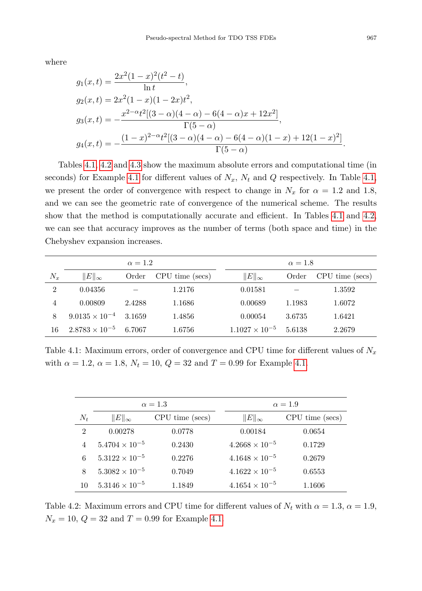where

$$
g_1(x,t) = \frac{2x^2(1-x)^2(t^2-t)}{\ln t},
$$
  
\n
$$
g_2(x,t) = 2x^2(1-x)(1-2x)t^2,
$$
  
\n
$$
g_3(x,t) = -\frac{x^{2-\alpha}t^2[(3-\alpha)(4-\alpha)-6(4-\alpha)x+12x^2]}{\Gamma(5-\alpha)},
$$
  
\n
$$
g_4(x,t) = -\frac{(1-x)^{2-\alpha}t^2[(3-\alpha)(4-\alpha)-6(4-\alpha)(1-x)+12(1-x)^2]}{\Gamma(5-\alpha)}.
$$

Tables [4.1,](#page-8-0) [4.2](#page-8-1) and [4.3](#page-9-0) show the maximum absolute errors and computational time (in seconds) for Example [4.1](#page-7-0) for different values of  $N_x$ ,  $N_t$  and Q respectively. In Table [4.1,](#page-8-0) we present the order of convergence with respect to change in  $N_x$  for  $\alpha = 1.2$  and 1.8, and we can see the geometric rate of convergence of the numerical scheme. The results show that the method is computationally accurate and efficient. In Tables [4.1](#page-8-0) and [4.2,](#page-8-1) we can see that accuracy improves as the number of terms (both space and time) in the Chebyshev expansion increases.

<span id="page-8-0"></span>

|                |                                | $\alpha = 1.2$ |                 |                         | $\alpha = 1.8$ |                 |  |
|----------------|--------------------------------|----------------|-----------------|-------------------------|----------------|-----------------|--|
| $N_x$          | $  E  _{\infty}$               | Order          | CPU time (secs) | $  E  _{\infty}$        | Order          | CPU time (secs) |  |
| $\overline{2}$ | 0.04356                        |                | 1.2176          | 0.01581                 |                | 1.3592          |  |
| 4              | 0.00809                        | 2.4288         | 1.1686          | 0.00689                 | 1.1983         | 1.6072          |  |
|                | $9.0135 \times 10^{-4}$ 3.1659 |                | 1.4856          | 0.00054                 | 3.6735         | 1.6421          |  |
| 16             | $2.8783 \times 10^{-5}$        | 6.7067         | 1.6756          | $1.1027 \times 10^{-5}$ | 5.6138         | 2.2679          |  |

Table 4.1: Maximum errors, order of convergence and CPU time for different values of  $N_x$ with  $\alpha = 1.2, \alpha = 1.8, N_t = 10, Q = 32$  and  $T = 0.99$  for Example [4.1.](#page-7-0)

<span id="page-8-1"></span>

|                |                         | $\alpha = 1.3$  |                         | $\alpha = 1.9$  |  |  |
|----------------|-------------------------|-----------------|-------------------------|-----------------|--|--|
| $N_t$          | $  E  _{\infty}$        | CPU time (secs) | $  E  _{\infty}$        | CPU time (secs) |  |  |
| $\overline{2}$ | 0.00278                 | 0.0778          | 0.00184                 | 0.0654          |  |  |
| 4              | $5.4704 \times 10^{-5}$ | 0.2430          | $4.2668 \times 10^{-5}$ | 0.1729          |  |  |
| 6              | $5.3122 \times 10^{-5}$ | 0.2276          | $4.1648 \times 10^{-5}$ | 0.2679          |  |  |
| 8              | $5.3082 \times 10^{-5}$ | 0.7049          | $4.1622 \times 10^{-5}$ | 0.6553          |  |  |
| 10             | $5.3146 \times 10^{-5}$ | 1.1849          | $4.1654 \times 10^{-5}$ | 1.1606          |  |  |

Table 4.2: Maximum errors and CPU time for different values of  $N_t$  with  $\alpha = 1.3$ ,  $\alpha = 1.9$ ,  $N_x = 10, Q = 32$  and  $T = 0.99$  for Example [4.1.](#page-7-0)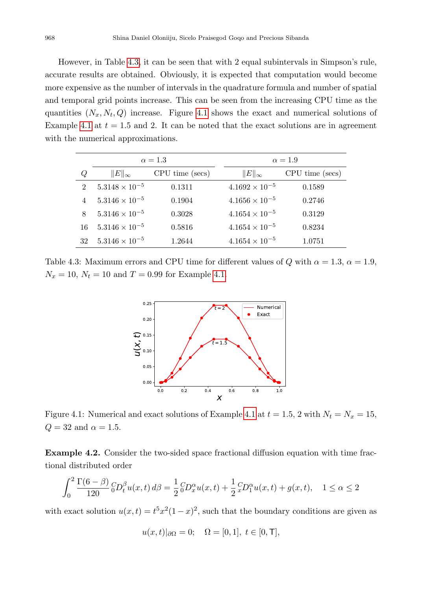However, in Table [4.3,](#page-9-0) it can be seen that with 2 equal subintervals in Simpson's rule, accurate results are obtained. Obviously, it is expected that computation would become more expensive as the number of intervals in the quadrature formula and number of spatial and temporal grid points increase. This can be seen from the increasing CPU time as the quantities  $(N_x, N_t, Q)$  increase. Figure [4.1](#page-9-1) shows the exact and numerical solutions of Example [4.1](#page-7-0) at  $t = 1.5$  and 2. It can be noted that the exact solutions are in agreement with the numerical approximations.

<span id="page-9-0"></span>

|                |                         | $\alpha = 1.3$  | $\alpha = 1.9$ |                         |                 |
|----------------|-------------------------|-----------------|----------------|-------------------------|-----------------|
| Q              | $  E  _{\infty}$        | CPU time (secs) |                | $  E  _{\infty}$        | CPU time (secs) |
| $\mathfrak{D}$ | $5.3148 \times 10^{-5}$ | 0.1311          |                | $4.1692 \times 10^{-5}$ | 0.1589          |
|                | $5.3146 \times 10^{-5}$ | 0.1904          |                | $4.1656 \times 10^{-5}$ | 0.2746          |
| 8              | $5.3146 \times 10^{-5}$ | 0.3028          |                | $4.1654 \times 10^{-5}$ | 0.3129          |
| 16             | $5.3146 \times 10^{-5}$ | 0.5816          |                | $4.1654 \times 10^{-5}$ | 0.8234          |
| 32             | $5.3146 \times 10^{-5}$ | 1.2644          |                | $4.1654 \times 10^{-5}$ | 1.0751          |

<span id="page-9-1"></span>Table 4.3: Maximum errors and CPU time for different values of Q with  $\alpha = 1.3$ ,  $\alpha = 1.9$ ,  $N_x = 10, N_t = 10$  and  $T = 0.99$  for Example [4.1.](#page-7-0)



Figure [4.1](#page-7-0): Numerical and exact solutions of Example 4.1 at  $t = 1.5$ , 2 with  $N_t = N_x = 15$ ,  $Q = 32$  and  $\alpha = 1.5$ .

<span id="page-9-2"></span>Example 4.2. Consider the two-sided space fractional diffusion equation with time fractional distributed order

$$
\int_0^2 \frac{\Gamma(6-\beta)}{120} \, {}_0^C D_t^{\beta} u(x,t) \, d\beta = \frac{1}{2} \, {}_0^C D_x^{\alpha} u(x,t) + \frac{1}{2} \, {}_x^C D_1^{\alpha} u(x,t) + g(x,t), \quad 1 \le \alpha \le 2
$$

with exact solution  $u(x,t) = t^5 x^2 (1-x)^2$ , such that the boundary conditions are given as

$$
u(x,t)|_{\partial\Omega} = 0;
$$
  $\Omega = [0,1], t \in [0,T],$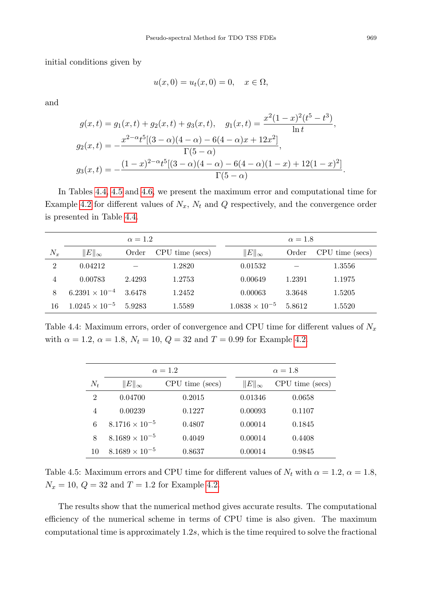initial conditions given by

$$
u(x, 0) = u_t(x, 0) = 0, \quad x \in \Omega,
$$

and

$$
g(x,t) = g_1(x,t) + g_2(x,t) + g_3(x,t), \quad g_1(x,t) = \frac{x^2(1-x)^2(t^5 - t^3)}{\ln t},
$$
  
\n
$$
g_2(x,t) = -\frac{x^{2-\alpha}t^5[(3-\alpha)(4-\alpha) - 6(4-\alpha)x + 12x^2]}{\Gamma(5-\alpha)},
$$
  
\n
$$
g_3(x,t) = -\frac{(1-x)^{2-\alpha}t^5[(3-\alpha)(4-\alpha) - 6(4-\alpha)(1-x) + 12(1-x)^2]}{\Gamma(5-\alpha)}
$$

In Tables [4.4,](#page-10-0) [4.5](#page-10-1) and [4.6,](#page-11-0) we present the maximum error and computational time for Example [4.2](#page-9-2) for different values of  $N_x$ ,  $N_t$  and  $Q$  respectively, and the convergence order is presented in Table [4.4.](#page-10-0)

<span id="page-10-0"></span>

| $\alpha = 1.2$ |                         |        |                 |  | $\alpha = 1.8$          |        |                 |
|----------------|-------------------------|--------|-----------------|--|-------------------------|--------|-----------------|
| $N_x$          | $  E  _{\infty}$        | Order  | CPU time (secs) |  | $  E  _{\infty}$        | Order  | CPU time (secs) |
| $\overline{2}$ | 0.04212                 |        | 1.2820          |  | 0.01532                 |        | 1.3556          |
| 4              | 0.00783                 | 2.4293 | 1.2753          |  | 0.00649                 | 1.2391 | 1.1975          |
| 8              | $6.2391 \times 10^{-4}$ | 3.6478 | 1.2452          |  | 0.00063                 | 3.3648 | 1.5205          |
| 16             | $1.0245 \times 10^{-5}$ | 5.9283 | 1.5589          |  | $1.0838 \times 10^{-5}$ | 5.8612 | 1.5520          |

<span id="page-10-1"></span>Table 4.4: Maximum errors, order of convergence and CPU time for different values of  $N_x$ with  $\alpha = 1.2, \, \alpha = 1.8, \, N_t = 10, \, Q = 32$  and  $T = 0.99$  for Example [4.2.](#page-9-2)

|                |                         | $\alpha = 1.2$  |                  | $\alpha = 1.8$  |  |  |
|----------------|-------------------------|-----------------|------------------|-----------------|--|--|
| $N_t$          | $  E  _{\infty}$        | CPU time (secs) | $  E  _{\infty}$ | CPU time (secs) |  |  |
| $\overline{2}$ | 0.04700                 | 0.2015          | 0.01346          | 0.0658          |  |  |
| 4              | 0.00239                 | 0.1227          | 0.00093          | 0.1107          |  |  |
| 6              | $8.1716 \times 10^{-5}$ | 0.4807          | 0.00014          | 0.1845          |  |  |
| 8              | $8.1689 \times 10^{-5}$ | 0.4049          | 0.00014          | 0.4408          |  |  |
| 10             | $8.1689 \times 10^{-5}$ | 0.8637          | 0.00014          | 0.9845          |  |  |

Table 4.5: Maximum errors and CPU time for different values of  $N_t$  with  $\alpha = 1.2, \alpha = 1.8$ ,  $N_x = 10, Q = 32$  and  $T = 1.2$  for Example [4.2.](#page-9-2)

The results show that the numerical method gives accurate results. The computational efficiency of the numerical scheme in terms of CPU time is also given. The maximum computational time is approximately 1.2s, which is the time required to solve the fractional

.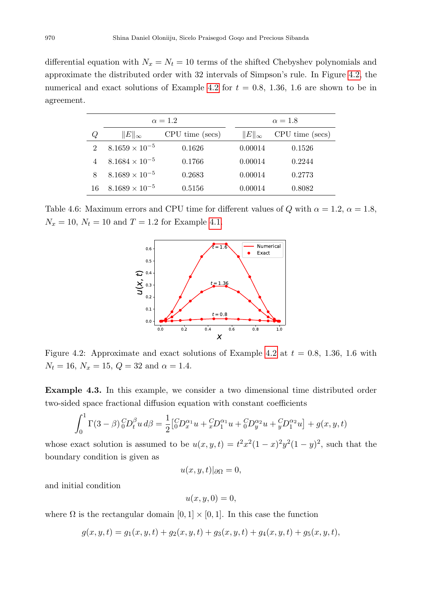differential equation with  $N_x = N_t = 10$  terms of the shifted Chebyshev polynomials and approximate the distributed order with 32 intervals of Simpson's rule. In Figure [4.2,](#page-11-1) the numerical and exact solutions of Example [4.2](#page-9-2) for  $t = 0.8, 1.36, 1.6$  are shown to be in agreement.

<span id="page-11-0"></span>

|    |                         | $\alpha = 1.2$  | $\alpha = 1.8$   |                 |  |
|----|-------------------------|-----------------|------------------|-----------------|--|
| Q  | $  E  _{\infty}$        | CPU time (secs) | $  E  _{\infty}$ | CPU time (secs) |  |
| 2  | $8.1659 \times 10^{-5}$ | 0.1626          | 0.00014          | 0.1526          |  |
|    | $8.1684 \times 10^{-5}$ | 0.1766          | 0.00014          | 0.2244          |  |
| 8  | $8.1689 \times 10^{-5}$ | 0.2683          | 0.00014          | 0.2773          |  |
| 16 | $8.1689 \times 10^{-5}$ | 0.5156          | 0.00014          | 0.8082          |  |

<span id="page-11-1"></span>Table 4.6: Maximum errors and CPU time for different values of Q with  $\alpha = 1.2$ ,  $\alpha = 1.8$ ,  $N_x = 10, N_t = 10$  and  $T = 1.2$  for Example [4.1.](#page-7-0)



Figure [4.2](#page-9-2): Approximate and exact solutions of Example 4.2 at  $t = 0.8, 1.36, 1.6$  with  $N_t = 16$ ,  $N_x = 15$ ,  $Q = 32$  and  $\alpha = 1.4$ .

<span id="page-11-2"></span>Example 4.3. In this example, we consider a two dimensional time distributed order two-sided space fractional diffusion equation with constant coefficients

$$
\int_0^1 \Gamma(3-\beta) \, {}_0^C D_t^{\beta} u \, d\beta = \frac{1}{2} \left[ {}_0^C D_x^{\alpha_1} u + {}_x^C D_1^{\alpha_1} u + {}_0^C D_y^{\alpha_2} u + {}_y^C D_1^{\alpha_2} u \right] + g(x, y, t)
$$

whose exact solution is assumed to be  $u(x, y, t) = t^2 x^2 (1-x)^2 y^2 (1-y)^2$ , such that the boundary condition is given as

$$
u(x, y, t)|_{\partial\Omega} = 0,
$$

and initial condition

$$
u(x, y, 0) = 0,
$$

where  $\Omega$  is the rectangular domain  $[0, 1] \times [0, 1]$ . In this case the function

$$
g(x, y, t) = g_1(x, y, t) + g_2(x, y, t) + g_3(x, y, t) + g_4(x, y, t) + g_5(x, y, t),
$$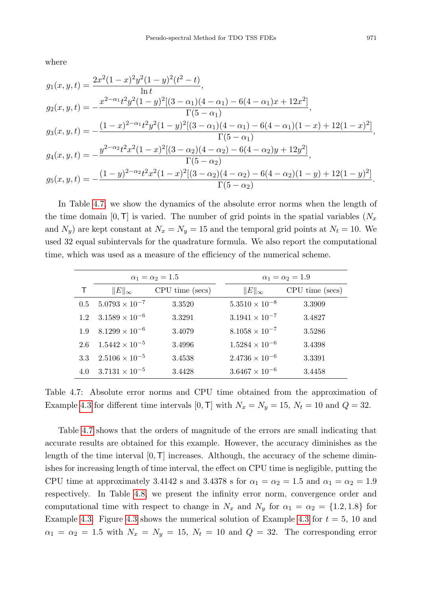where

$$
g_1(x, y, t) = \frac{2x^2(1-x)^2y^2(1-y)^2(t^2-t)}{\ln t},
$$
  
\n
$$
g_2(x, y, t) = -\frac{x^{2-\alpha_1}t^2y^2(1-y)^2[(3-\alpha_1)(4-\alpha_1)-6(4-\alpha_1)x+12x^2]}{\Gamma(5-\alpha_1)},
$$
  
\n
$$
g_3(x, y, t) = -\frac{(1-x)^{2-\alpha_1}t^2y^2(1-y)^2[(3-\alpha_1)(4-\alpha_1)-6(4-\alpha_1)(1-x)+12(1-x)^2]}{\Gamma(5-\alpha_1)},
$$
  
\n
$$
g_4(x, y, t) = -\frac{y^{2-\alpha_2}t^2x^2(1-x)^2[(3-\alpha_2)(4-\alpha_2)-6(4-\alpha_2)y+12y^2]}{\Gamma(5-\alpha_2)},
$$
  
\n
$$
g_5(x, y, t) = -\frac{(1-y)^{2-\alpha_2}t^2x^2(1-x)^2[(3-\alpha_2)(4-\alpha_2)-6(4-\alpha_2)(1-y)+12(1-y)^2]}{\Gamma(5-\alpha_2)}.
$$

In Table [4.7,](#page-12-0) we show the dynamics of the absolute error norms when the length of the time domain  $[0, T]$  is varied. The number of grid points in the spatial variables  $(N_x)$ and  $N_y$ ) are kept constant at  $N_x = N_y = 15$  and the temporal grid points at  $N_t = 10$ . We used 32 equal subintervals for the quadrature formula. We also report the computational time, which was used as a measure of the efficiency of the numerical scheme.

<span id="page-12-0"></span>

|     |                         | $\alpha_1 = \alpha_2 = 1.5$ | $\alpha_1 = \alpha_2 = 1.9$ |                 |  |
|-----|-------------------------|-----------------------------|-----------------------------|-----------------|--|
|     | $  E  _{\infty}$        | CPU time (secs)             | $  E  _{\infty}$            | CPU time (secs) |  |
| 0.5 | $5.0793 \times 10^{-7}$ | 3.3520                      | $5.3510 \times 10^{-8}$     | 3.3909          |  |
| 1.2 | $3.1589 \times 10^{-6}$ | 3.3291                      | $3.1941 \times 10^{-7}$     | 3.4827          |  |
| 1.9 | $8.1299 \times 10^{-6}$ | 3.4079                      | $8.1058 \times 10^{-7}$     | 3.5286          |  |
| 2.6 | $1.5442 \times 10^{-5}$ | 3.4996                      | $1.5284 \times 10^{-6}$     | 3.4398          |  |
| 3.3 | $2.5106 \times 10^{-5}$ | 3.4538                      | $2.4736 \times 10^{-6}$     | 3.3391          |  |
| 4.0 | $3.7131 \times 10^{-5}$ | 3.4428                      | $3.6467 \times 10^{-6}$     | 3.4458          |  |

Table 4.7: Absolute error norms and CPU time obtained from the approximation of Example [4.3](#page-11-2) for different time intervals [0, T] with  $N_x = N_y = 15$ ,  $N_t = 10$  and  $Q = 32$ .

Table [4.7](#page-12-0) shows that the orders of magnitude of the errors are small indicating that accurate results are obtained for this example. However, the accuracy diminishes as the length of the time interval  $[0, T]$  increases. Although, the accuracy of the scheme diminishes for increasing length of time interval, the effect on CPU time is negligible, putting the CPU time at approximately 3.4142 s and 3.4378 s for  $\alpha_1 = \alpha_2 = 1.5$  and  $\alpha_1 = \alpha_2 = 1.9$ respectively. In Table [4.8,](#page-13-0) we present the infinity error norm, convergence order and computational time with respect to change in  $N_x$  and  $N_y$  for  $\alpha_1 = \alpha_2 = \{1.2, 1.8\}$  for Example [4.3.](#page-11-2) Figure [4.3](#page-11-2) shows the numerical solution of Example 4.3 for  $t = 5$ , 10 and  $\alpha_1 = \alpha_2 = 1.5$  with  $N_x = N_y = 15$ ,  $N_t = 10$  and  $Q = 32$ . The corresponding error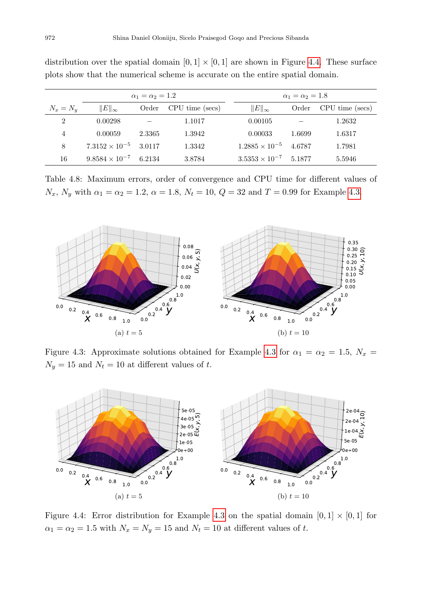<span id="page-13-0"></span>

| $\alpha_1 = \alpha_2 = 1.2$ |                                |        |                 | $\alpha_1=\alpha_2=1.8$        |        |                 |
|-----------------------------|--------------------------------|--------|-----------------|--------------------------------|--------|-----------------|
| $N_x = N_y$                 | $  E  _{\infty}$               | Order  | CPU time (secs) | $  E  _{\infty}$               | Order  | CPU time (secs) |
| $\overline{2}$              | 0.00298                        |        | 1.1017          | 0.00105                        |        | 1.2632          |
| 4                           | 0.00059                        | 2.3365 | 1.3942          | 0.00033                        | 1.6699 | 1.6317          |
| 8                           | $7.3152 \times 10^{-5}$ 3.0117 |        | 1.3342          | $1.2885 \times 10^{-5}$        | 4.6787 | 1.7981          |
| 16                          | $9.8584 \times 10^{-7}$ 6.2134 |        | 3.8784          | $3.5353 \times 10^{-7}$ 5.1877 |        | 5.5946          |

distribution over the spatial domain  $[0, 1] \times [0, 1]$  are shown in Figure [4.4.](#page-13-2) These surface plots show that the numerical scheme is accurate on the entire spatial domain.

Table 4.8: Maximum errors, order of convergence and CPU time for different values of  $N_x$ ,  $N_y$  with  $\alpha_1 = \alpha_2 = 1.2$ ,  $\alpha = 1.8$ ,  $N_t = 10$ ,  $Q = 32$  and  $T = 0.99$  for Example [4.3.](#page-11-2)

<span id="page-13-1"></span>

Figure [4.3](#page-11-2): Approximate solutions obtained for Example 4.3 for  $\alpha_1 = \alpha_2 = 1.5$ ,  $N_x =$  $N_y=15$  and  $N_t=10$  at different values of  $t.$ 

<span id="page-13-2"></span>

Figure 4.4: Error distribution for Example [4.3](#page-11-2) on the spatial domain  $[0, 1] \times [0, 1]$  for  $\alpha_1 = \alpha_2 = 1.5$  with  $N_x = N_y = 15$  and  $N_t = 10$  at different values of t.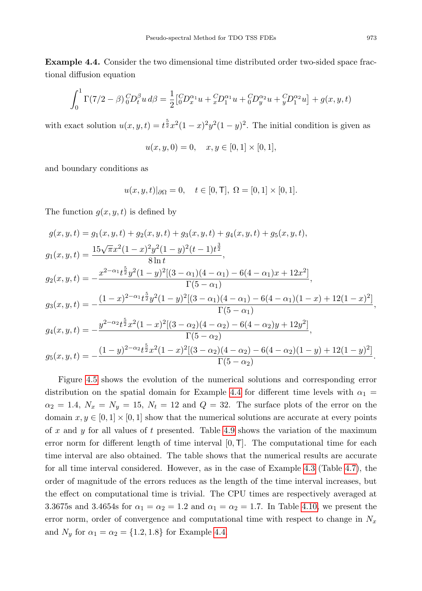<span id="page-14-0"></span>**Example 4.4.** Consider the two dimensional time distributed order two-sided space fractional diffusion equation

$$
\int_0^1 \Gamma(7/2 - \beta) \, {}_0^C D_t^{\beta} u \, d\beta = \frac{1}{2} \left[ {}_0^C D_x^{\alpha_1} u + {}_x^C D_1^{\alpha_1} u + {}_0^C D_y^{\alpha_2} u + {}_y^C D_1^{\alpha_2} u \right] + g(x, y, t)
$$

with exact solution  $u(x, y, t) = t^{\frac{5}{2}}x^2(1-x)^2y^2(1-y)^2$ . The initial condition is given as

$$
u(x, y, 0) = 0, \quad x, y \in [0, 1] \times [0, 1],
$$

and boundary conditions as

$$
u(x, y, t)|_{\partial\Omega} = 0
$$
,  $t \in [0, T]$ ,  $\Omega = [0, 1] \times [0, 1]$ .

The function  $g(x, y, t)$  is defined by

$$
g(x, y, t) = g_1(x, y, t) + g_2(x, y, t) + g_3(x, y, t) + g_4(x, y, t) + g_5(x, y, t),
$$
  
\n
$$
g_1(x, y, t) = \frac{15\sqrt{\pi}x^2(1-x)^2y^2(1-y)^2(t-1)t^{\frac{3}{2}}}{8\ln t},
$$
  
\n
$$
g_2(x, y, t) = -\frac{x^{2-\alpha_1}t^{\frac{5}{2}}y^2(1-y)^2[(3-\alpha_1)(4-\alpha_1)-6(4-\alpha_1)x+12x^2]}{\Gamma(5-\alpha_1)},
$$
  
\n
$$
g_3(x, y, t) = -\frac{(1-x)^{2-\alpha_1}t^{\frac{5}{2}}y^2(1-y)^2[(3-\alpha_1)(4-\alpha_1)-6(4-\alpha_1)(1-x)+12(1-x)^2]}{\Gamma(5-\alpha_1)},
$$
  
\n
$$
g_4(x, y, t) = -\frac{y^{2-\alpha_2}t^{\frac{5}{2}}x^2(1-x)^2[(3-\alpha_2)(4-\alpha_2)-6(4-\alpha_2)y+12y^2]}{\Gamma(5-\alpha_2)},
$$
  
\n
$$
g_5(x, y, t) = -\frac{(1-y)^{2-\alpha_2}t^{\frac{5}{2}}x^2(1-x)^2[(3-\alpha_2)(4-\alpha_2)-6(4-\alpha_2)(1-y)+12(1-y)^2]}{\Gamma(5-\alpha_2)}.
$$

Figure [4.5](#page-15-0) shows the evolution of the numerical solutions and corresponding error distribution on the spatial domain for Example [4.4](#page-14-0) for different time levels with  $\alpha_1 =$  $\alpha_2 = 1.4$ ,  $N_x = N_y = 15$ ,  $N_t = 12$  and  $Q = 32$ . The surface plots of the error on the domain  $x, y \in [0, 1] \times [0, 1]$  show that the numerical solutions are accurate at every points of x and y for all values of t presented. Table [4.9](#page-16-0) shows the variation of the maximum error norm for different length of time interval  $[0, T]$ . The computational time for each time interval are also obtained. The table shows that the numerical results are accurate for all time interval considered. However, as in the case of Example [4.3](#page-11-2) (Table [4.7\)](#page-12-0), the order of magnitude of the errors reduces as the length of the time interval increases, but the effect on computational time is trivial. The CPU times are respectively averaged at 3.3675s and 3.4654s for  $\alpha_1 = \alpha_2 = 1.2$  and  $\alpha_1 = \alpha_2 = 1.7$ . In Table [4.10,](#page-16-1) we present the error norm, order of convergence and computational time with respect to change in  $N_x$ and  $N_y$  for  $\alpha_1 = \alpha_2 = \{1.2, 1.8\}$  for Example [4.4.](#page-14-0)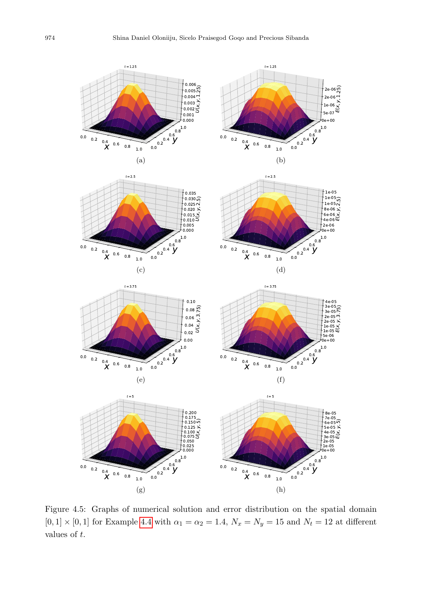<span id="page-15-0"></span>

Figure 4.5: Graphs of numerical solution and error distribution on the spatial domain  $[0, 1] \times [0, 1]$  for Example [4.4](#page-14-0) with  $\alpha_1 = \alpha_2 = 1.4$ ,  $N_x = N_y = 15$  and  $N_t = 12$  at different values of t.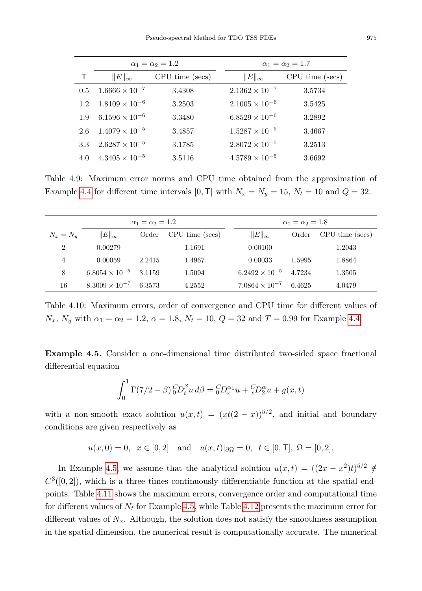<span id="page-16-0"></span>

|     |                         | $\alpha_1 = \alpha_2 = 1.2$ | $\alpha_1 = \alpha_2 = 1.7$ |                 |  |
|-----|-------------------------|-----------------------------|-----------------------------|-----------------|--|
|     | $  E  _{\infty}$        | CPU time (secs)             | $  E  _{\infty}$            | CPU time (secs) |  |
| 0.5 | $1.6666 \times 10^{-7}$ | 3.4308                      | $2.1362 \times 10^{-7}$     | 3.5734          |  |
| 1.2 | $1.8109 \times 10^{-6}$ | 3.2503                      | $2.1005 \times 10^{-6}$     | 3.5425          |  |
| 1.9 | $6.1596 \times 10^{-6}$ | 3.3480                      | $6.8529 \times 10^{-6}$     | 3.2892          |  |
| 2.6 | $1.4079 \times 10^{-5}$ | 3.4857                      | $1.5287 \times 10^{-5}$     | 3.4667          |  |
| 3.3 | $2.6287 \times 10^{-5}$ | 3.1785                      | $2.8072 \times 10^{-5}$     | 3.2513          |  |
| 4.0 | $4.3405 \times 10^{-5}$ | 3.5116                      | $4.5789 \times 10^{-5}$     | 3.6692          |  |

Table 4.9: Maximum error norms and CPU time obtained from the approximation of Example [4.4](#page-14-0) for different time intervals [0, T] with  $N_x = N_y = 15$ ,  $N_t = 10$  and  $Q = 32$ .

<span id="page-16-1"></span>

| $\alpha_1 = \alpha_2 = 1.2$ |                         |        |                 |  | $\alpha_1=\alpha_2=1.8$        |        |                 |
|-----------------------------|-------------------------|--------|-----------------|--|--------------------------------|--------|-----------------|
| $N_x = N_y$                 | $\ E\ _\infty$          | Order  | CPU time (secs) |  | $  E  _{\infty}$               | Order  | CPU time (secs) |
| 2                           | 0.00279                 |        | 1.1691          |  | 0.00100                        |        | 1.2043          |
| 4                           | 0.00059                 | 2.2415 | 1.4967          |  | 0.00033                        | 1.5995 | 1.8864          |
| 8                           | $6.8054 \times 10^{-5}$ | 3.1159 | 1.5094          |  | $6.2492 \times 10^{-5}$ 4.7234 |        | 1.3505          |
| 16                          | $8.3009 \times 10^{-7}$ | 6.3573 | 4.2552          |  | $7.0864 \times 10^{-7}$        | 6.4625 | 4.0479          |

Table 4.10: Maximum errors, order of convergence and CPU time for different values of  $N_x$ ,  $N_y$  with  $\alpha_1 = \alpha_2 = 1.2$ ,  $\alpha = 1.8$ ,  $N_t = 10$ ,  $Q = 32$  and  $T = 0.99$  for Example [4.4.](#page-14-0)

<span id="page-16-2"></span>Example 4.5. Consider a one-dimensional time distributed two-sided space fractional differential equation

$$
\int_0^1 \Gamma(7/2 - \beta) \, {}_0^C D_t^{\beta} u \, d\beta = {}_0^C D_x^{\alpha_1} u + {}_x^C D_2^{\alpha} u + g(x, t)
$$

with a non-smooth exact solution  $u(x,t) = (xt(2-x))^{5/2}$ , and initial and boundary conditions are given respectively as

$$
u(x,0) = 0
$$
,  $x \in [0,2]$  and  $u(x,t)|_{\partial\Omega} = 0$ ,  $t \in [0,\mathsf{T}], \Omega = [0,2].$ 

In Example [4.5,](#page-16-2) we assume that the analytical solution  $u(x,t) = ((2x - x^2)t)^{5/2} \notin$  $C^3([0,2])$ , which is a three times continuously differentiable function at the spatial endpoints. Table [4.11](#page-17-1) shows the maximum errors, convergence order and computational time for different values of  $N_t$  for Example [4.5,](#page-16-2) while Table [4.12](#page-17-2) presents the maximum error for different values of  $N_x$ . Although, the solution does not satisfy the smoothness assumption in the spatial dimension, the numerical result is computationally accurate. The numerical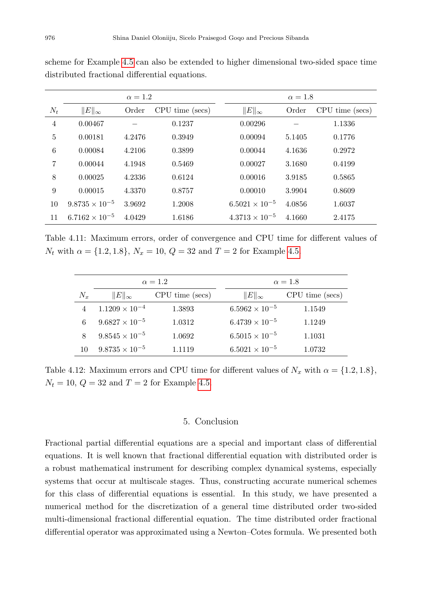<span id="page-17-1"></span>

| $\alpha = 1.2$ |                         |        |                 | $\alpha = 1.8$          |        |                 |
|----------------|-------------------------|--------|-----------------|-------------------------|--------|-----------------|
| $N_t$          | $  E  _{\infty}$        | Order  | CPU time (secs) | $  E  _{\infty}$        | Order  | CPU time (secs) |
| $\overline{4}$ | 0.00467                 |        | 0.1237          | 0.00296                 |        | 1.1336          |
| 5              | 0.00181                 | 4.2476 | 0.3949          | 0.00094                 | 5.1405 | 0.1776          |
| 6              | 0.00084                 | 4.2106 | 0.3899          | 0.00044                 | 4.1636 | 0.2972          |
| 7              | 0.00044                 | 4.1948 | 0.5469          | 0.00027                 | 3.1680 | 0.4199          |
| 8              | 0.00025                 | 4.2336 | 0.6124          | 0.00016                 | 3.9185 | 0.5865          |
| 9              | 0.00015                 | 4.3370 | 0.8757          | 0.00010                 | 3.9904 | 0.8609          |
| 10             | $9.8735 \times 10^{-5}$ | 3.9692 | 1.2008          | $6.5021 \times 10^{-5}$ | 4.0856 | 1.6037          |
| 11             | $6.7162 \times 10^{-5}$ | 4.0429 | 1.6186          | $4.3713 \times 10^{-5}$ | 4.1660 | 2.4175          |

scheme for Example [4.5](#page-16-2) can also be extended to higher dimensional two-sided space time distributed fractional differential equations.

Table 4.11: Maximum errors, order of convergence and CPU time for different values of  $N_t$  with  $\alpha = \{1.2, 1.8\}, N_x = 10, Q = 32$  and  $T = 2$  for Example [4.5.](#page-16-2)

<span id="page-17-2"></span>

|       |                         | $\alpha = 1.2$  | $\alpha = 1.8$ |                         |                 |
|-------|-------------------------|-----------------|----------------|-------------------------|-----------------|
| $N_x$ | $  E  _{\infty}$        | CPU time (secs) |                | $  E  _{\infty}$        | CPU time (secs) |
|       | $1.1209 \times 10^{-4}$ | 1.3893          |                | $6.5962 \times 10^{-5}$ | 1.1549          |
| 6     | $9.6827 \times 10^{-5}$ | 1.0312          |                | $6.4739 \times 10^{-5}$ | 1.1249          |
| 8     | $9.8545 \times 10^{-5}$ | 1.0692          |                | $6.5015 \times 10^{-5}$ | 1.1031          |
| 10    | $9.8735 \times 10^{-5}$ | 1.1119          |                | $6.5021 \times 10^{-5}$ | 1.0732          |

Table 4.12: Maximum errors and CPU time for different values of  $N_x$  with  $\alpha = \{1.2, 1.8\}$ ,  $N_t = 10, Q = 32 \text{ and } T = 2 \text{ for Example 4.5.}$  $N_t = 10, Q = 32 \text{ and } T = 2 \text{ for Example 4.5.}$  $N_t = 10, Q = 32 \text{ and } T = 2 \text{ for Example 4.5.}$ 

## 5. Conclusion

<span id="page-17-0"></span>Fractional partial differential equations are a special and important class of differential equations. It is well known that fractional differential equation with distributed order is a robust mathematical instrument for describing complex dynamical systems, especially systems that occur at multiscale stages. Thus, constructing accurate numerical schemes for this class of differential equations is essential. In this study, we have presented a numerical method for the discretization of a general time distributed order two-sided multi-dimensional fractional differential equation. The time distributed order fractional differential operator was approximated using a Newton–Cotes formula. We presented both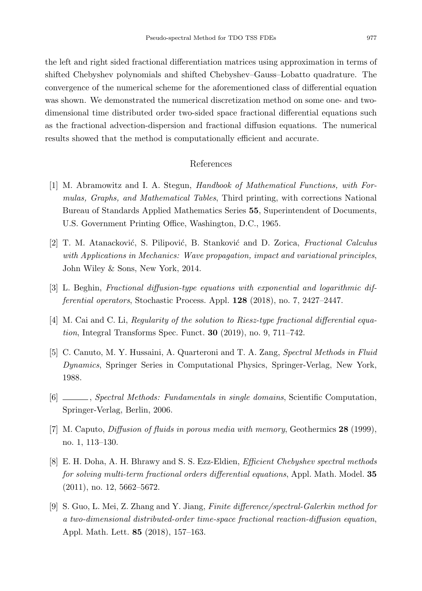the left and right sided fractional differentiation matrices using approximation in terms of shifted Chebyshev polynomials and shifted Chebyshev–Gauss–Lobatto quadrature. The convergence of the numerical scheme for the aforementioned class of differential equation was shown. We demonstrated the numerical discretization method on some one- and twodimensional time distributed order two-sided space fractional differential equations such as the fractional advection-dispersion and fractional diffusion equations. The numerical results showed that the method is computationally efficient and accurate.

## References

- <span id="page-18-5"></span>[1] M. Abramowitz and I. A. Stegun, Handbook of Mathematical Functions, with Formulas, Graphs, and Mathematical Tables, Third printing, with corrections National Bureau of Standards Applied Mathematics Series 55, Superintendent of Documents, U.S. Government Printing Office, Washington, D.C., 1965.
- <span id="page-18-1"></span>[2] T. M. Atanacković, S. Pilipović, B. Stanković and D. Zorica, Fractional Calculus with Applications in Mechanics: Wave propagation, impact and variational principles, John Wiley & Sons, New York, 2014.
- <span id="page-18-0"></span>[3] L. Beghin, Fractional diffusion-type equations with exponential and logarithmic differential operators, Stochastic Process. Appl. 128 (2018), no. 7, 2427–2447.
- <span id="page-18-3"></span>[4] M. Cai and C. Li, Regularity of the solution to Riesz-type fractional differential equation, Integral Transforms Spec. Funct. 30 (2019), no. 9, 711–742.
- <span id="page-18-7"></span>[5] C. Canuto, M. Y. Hussaini, A. Quarteroni and T. A. Zang, Spectral Methods in Fluid Dynamics, Springer Series in Computational Physics, Springer-Verlag, New York, 1988.
- <span id="page-18-8"></span>[6] , Spectral Methods: Fundamentals in single domains, Scientific Computation, Springer-Verlag, Berlin, 2006.
- <span id="page-18-2"></span>[7] M. Caputo, Diffusion of fluids in porous media with memory, Geothermics 28 (1999), no. 1, 113–130.
- <span id="page-18-6"></span>[8] E. H. Doha, A. H. Bhrawy and S. S. Ezz-Eldien, Efficient Chebyshev spectral methods for solving multi-term fractional orders differential equations, Appl. Math. Model. 35 (2011), no. 12, 5662–5672.
- <span id="page-18-4"></span>[9] S. Guo, L. Mei, Z. Zhang and Y. Jiang, Finite difference/spectral-Galerkin method for a two-dimensional distributed-order time-space fractional reaction-diffusion equation, Appl. Math. Lett. 85 (2018), 157–163.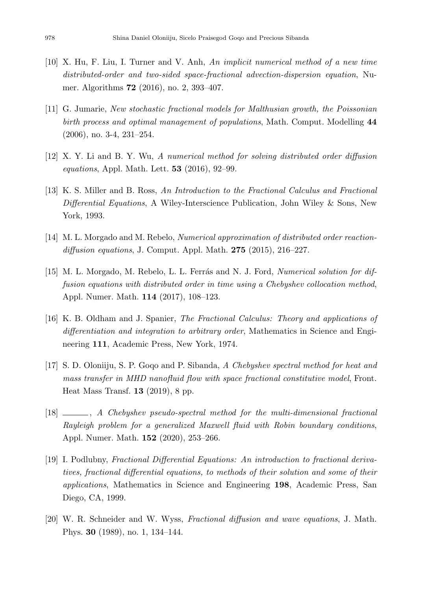- <span id="page-19-8"></span>[10] X. Hu, F. Liu, I. Turner and V. Anh, An implicit numerical method of a new time distributed-order and two-sided space-fractional advection-dispersion equation, Numer. Algorithms 72 (2016), no. 2, 393–407.
- <span id="page-19-4"></span>[11] G. Jumarie, New stochastic fractional models for Malthusian growth, the Poissonian birth process and optimal management of populations, Math. Comput. Modelling 44 (2006), no. 3-4, 231–254.
- <span id="page-19-5"></span>[12] X. Y. Li and B. Y. Wu, A numerical method for solving distributed order diffusion equations, Appl. Math. Lett. 53 (2016), 92–99.
- <span id="page-19-1"></span>[13] K. S. Miller and B. Ross, An Introduction to the Fractional Calculus and Fractional Differential Equations, A Wiley-Interscience Publication, John Wiley & Sons, New York, 1993.
- <span id="page-19-6"></span>[14] M. L. Morgado and M. Rebelo, Numerical approximation of distributed order reactiondiffusion equations, J. Comput. Appl. Math.  $275$  (2015), 216–227.
- <span id="page-19-7"></span>[15] M. L. Morgado, M. Rebelo, L. L. Ferrás and N. J. Ford, *Numerical solution for dif*fusion equations with distributed order in time using a Chebyshev collocation method, Appl. Numer. Math. 114 (2017), 108–123.
- <span id="page-19-2"></span>[16] K. B. Oldham and J. Spanier, The Fractional Calculus: Theory and applications of differentiation and integration to arbitrary order, Mathematics in Science and Engineering 111, Academic Press, New York, 1974.
- <span id="page-19-9"></span>[17] S. D. Oloniiju, S. P. Goqo and P. Sibanda, A Chebyshev spectral method for heat and mass transfer in MHD nanofluid flow with space fractional constitutive model, Front. Heat Mass Transf. 13 (2019), 8 pp.
- <span id="page-19-10"></span>[18] , A Chebyshev pseudo-spectral method for the multi-dimensional fractional Rayleigh problem for a generalized Maxwell fluid with Robin boundary conditions, Appl. Numer. Math. 152 (2020), 253–266.
- <span id="page-19-3"></span>[19] I. Podlubny, Fractional Differential Equations: An introduction to fractional derivatives, fractional differential equations, to methods of their solution and some of their applications, Mathematics in Science and Engineering 198, Academic Press, San Diego, CA, 1999.
- <span id="page-19-0"></span>[20] W. R. Schneider and W. Wyss, Fractional diffusion and wave equations, J. Math. Phys. 30 (1989), no. 1, 134–144.